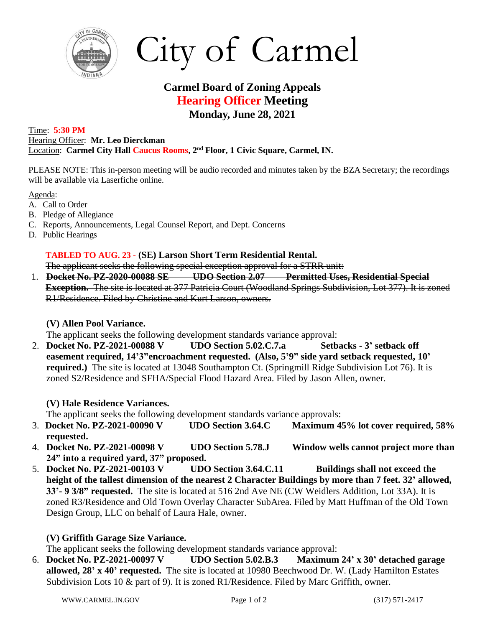

City of Carmel

# **Carmel Board of Zoning Appeals Hearing Officer Meeting Monday, June 28, 2021**

Time: **5:30 PM** Hearing Officer: **Mr. Leo Dierckman** Location: **Carmel City Hall Caucus Rooms, 2 nd Floor, 1 Civic Square, Carmel, IN.**

PLEASE NOTE: This in-person meeting will be audio recorded and minutes taken by the BZA Secretary; the recordings will be available via Laserfiche online.

Agenda:

- A. Call to Order
- B. Pledge of Allegiance
- C. Reports, Announcements, Legal Counsel Report, and Dept. Concerns
- D. Public Hearings

### **TABLED TO AUG. 23 - (SE) Larson Short Term Residential Rental.**

The applicant seeks the following special exception approval for a STRR unit:

1. **Docket No. PZ-2020-00088 SE UDO Section 2.07 Permitted Uses, Residential Special Exception.** The site is located at 377 Patricia Court (Woodland Springs Subdivision, Lot 377). It is zoned R1/Residence. Filed by Christine and Kurt Larson, owners.

## **(V) Allen Pool Variance.**

The applicant seeks the following development standards variance approval:

2. **Docket No. PZ-2021-00088 V UDO Section 5.02.C.7.a Setbacks - 3' setback off easement required, 14'3"encroachment requested. (Also, 5'9" side yard setback requested, 10' required.)** The site is located at 13048 Southampton Ct. (Springmill Ridge Subdivision Lot 76). It is zoned S2/Residence and SFHA/Special Flood Hazard Area. Filed by Jason Allen, owner.

## **(V) Hale Residence Variances.**

The applicant seeks the following development standards variance approvals:

- 3. **Docket No. PZ-2021-00090 V UDO Section 3.64.C Maximum 45% lot cover required, 58% requested.**
- 4. **Docket No. PZ-2021-00098 V UDO Section 5.78.J Window wells cannot project more than 24" into a required yard, 37" proposed.**
- 5. **Docket No. PZ-2021-00103 V UDO Section 3.64.C.11 Buildings shall not exceed the height of the tallest dimension of the nearest 2 Character Buildings by more than 7 feet. 32' allowed, 33'- 9 3/8" requested.** The site is located at 516 2nd Ave NE (CW Weidlers Addition, Lot 33A). It is zoned R3/Residence and Old Town Overlay Character SubArea. Filed by Matt Huffman of the Old Town Design Group, LLC on behalf of Laura Hale, owner.

## **(V) Griffith Garage Size Variance.**

The applicant seeks the following development standards variance approval:

6. **Docket No. PZ-2021-00097 V UDO Section 5.02.B.3 Maximum 24' x 30' detached garage allowed, 28' x 40' requested.** The site is located at 10980 Beechwood Dr. W. (Lady Hamilton Estates Subdivision Lots 10 & part of 9). It is zoned R1/Residence. Filed by Marc Griffith, owner.